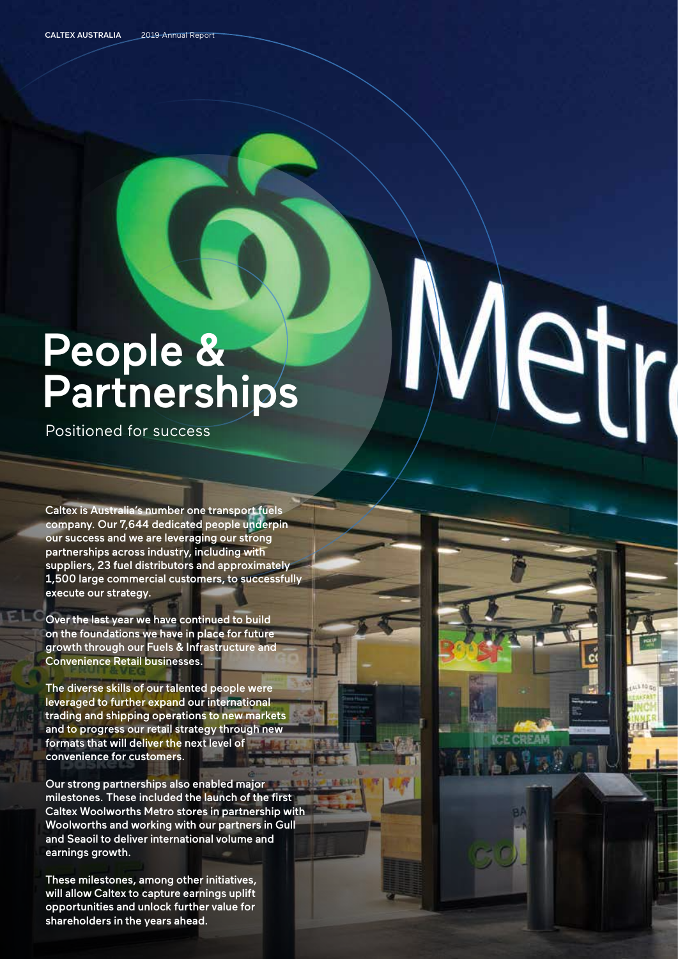## People & **Partnerships**

 $\boldsymbol{V}$ 

etr

Positioned for success

Caltex is Australia's number one transport fuels company. Our 7,644 dedicated people underpin our success and we are leveraging our strong partnerships across industry, including with suppliers, 23 fuel distributors and approximately 1,500 large commercial customers, to successfully execute our strategy.

Over the last year we have continued to build on the foundations we have in place for future growth through our Fuels & Infrastructure and Convenience Retail businesses.

The diverse skills of our talented people were leveraged to further expand our international trading and shipping operations to new markets and to progress our retail strategy through new formats that will deliver the next level of convenience for customers.

Our strong partnerships also enabled major milestones. These included the launch of the first Caltex Woolworths Metro stores in partnership with Woolworths and working with our partners in Gull and Seaoil to deliver international volume and earnings growth.

These milestones, among other initiatives, will allow Caltex to capture earnings uplift opportunities and unlock further value for shareholders in the years ahead.